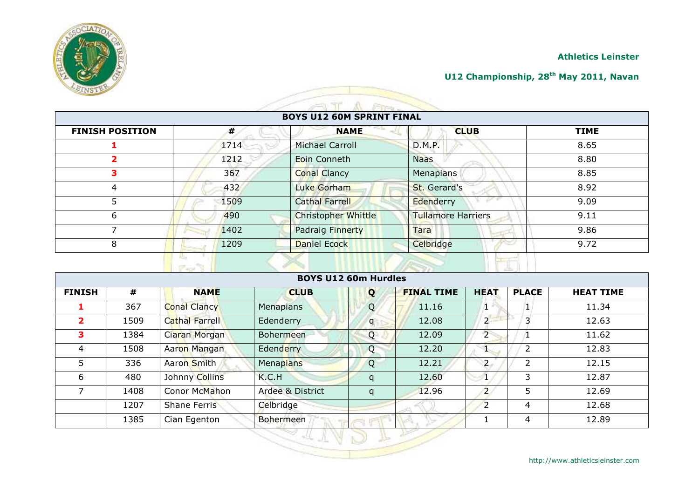

#### **U12 Championship, 28th May 2011, Navan**

| <b>BOYS U12 60M SPRINT FINAL</b> |      |                            |                           |             |  |
|----------------------------------|------|----------------------------|---------------------------|-------------|--|
| <b>FINISH POSITION</b>           | #    | <b>NAME</b>                | <b>CLUB</b>               | <b>TIME</b> |  |
|                                  | 1714 | <b>Michael Carroll</b>     | D.M.P.                    | 8.65        |  |
| 2                                | 1212 | Eoin Conneth               | <b>Naas</b>               | 8.80        |  |
| 3                                | 367  | <b>Conal Clancy</b>        | Menapians                 | 8.85        |  |
| 4                                | 432  | Luke Gorham                | St. Gerard's              | 8.92        |  |
| 5                                | 1509 | <b>Cathal Farrell</b>      | Edenderry                 | 9.09        |  |
| 6                                | 490  | <b>Christopher Whittle</b> | <b>Tullamore Harriers</b> | 9.11        |  |
|                                  | 1402 | Padraig Finnerty           | Tara                      | 9.86        |  |
| 8                                | 1209 | Daniel Ecock               | Celbridge                 | 9.72        |  |

|                         |      |                       | <b>BOYS U12 60m Hurdles</b> |              |                   |                |                |                  |
|-------------------------|------|-----------------------|-----------------------------|--------------|-------------------|----------------|----------------|------------------|
| <b>FINISH</b>           | #    | <b>NAME</b>           | <b>CLUB</b>                 | Q            | <b>FINAL TIME</b> | <b>HEAT</b>    | <b>PLACE</b>   | <b>HEAT TIME</b> |
|                         | 367  | <b>Conal Clancy</b>   | <b>Menapians</b>            | Q            | 11.16             |                |                | 11.34            |
| $\overline{\mathbf{2}}$ | 1509 | <b>Cathal Farrell</b> | Edenderry                   | $\mathsf{q}$ | 12.08             | $\overline{2}$ | 3              | 12.63            |
| 3                       | 1384 | Ciaran Morgan         | <b>Bohermeen</b>            | Q            | 12.09             | $\overline{2}$ |                | 11.62            |
| 4                       | 1508 | Aaron Mangan          | Edenderry                   | Q            | 12.20             | 95             | $\overline{2}$ | 12.83            |
| 5                       | 336  | Aaron Smith           | Menapians                   | Q            | 12.21             | $\overline{2}$ | 2              | 12.15            |
| 6                       | 480  | Johnny Collins        | K.C.H                       | q            | 12.60             |                | 3              | 12.87            |
| 7                       | 1408 | Conor McMahon         | Ardee & District            | q            | 12.96             | $\overline{2}$ | 5              | 12.69            |
|                         | 1207 | Shane Ferris          | Celbridge                   |              |                   | $\overline{2}$ | 4              | 12.68            |
|                         | 1385 | Cian Egenton          | <b>Bohermeen</b>            |              |                   |                | 4              | 12.89            |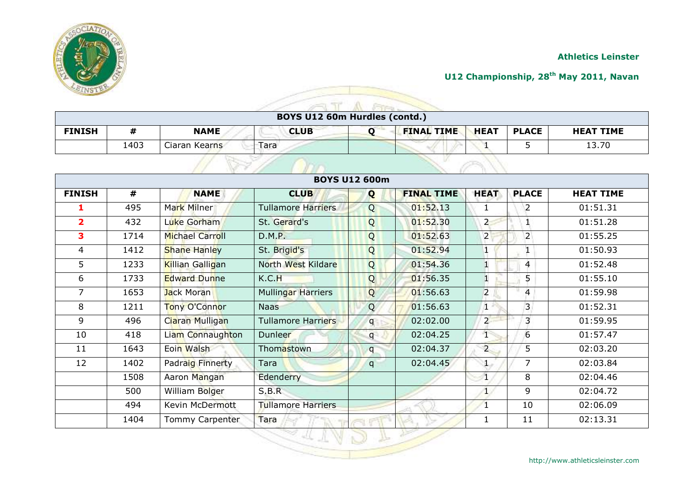

#### **U12 Championship, 28th May 2011, Navan**

|               |      |               | BOYS U12 60m Hurdles (contd.) |                   |             |              |                  |
|---------------|------|---------------|-------------------------------|-------------------|-------------|--------------|------------------|
| <b>FINISH</b> |      | <b>NAME</b>   | <b>CLUB</b>                   | <b>FINAL TIME</b> | <b>HEAT</b> | <b>PLACE</b> | <b>HEAT TIME</b> |
|               | 1403 | Ciaran Kearns | Tara                          |                   |             |              | 13.70            |

| <b>BOYS U12 600m</b>    |      |                         |                           |             |                   |                |                |                  |
|-------------------------|------|-------------------------|---------------------------|-------------|-------------------|----------------|----------------|------------------|
| <b>FINISH</b>           | #    | <b>NAME</b>             | <b>CLUB</b>               | Q           | <b>FINAL TIME</b> | <b>HEAT</b>    | <b>PLACE</b>   | <b>HEAT TIME</b> |
| 1                       | 495  | Mark Milner             | Tullamore Harriers        | Q           | 01:52.13          |                | $\overline{2}$ | 01:51.31         |
| $\overline{\mathbf{2}}$ | 432  | Luke Gorham             | St. Gerard's              | Q           | 01:52.30          | $\overline{2}$ | 1              | 01:51.28         |
| 3                       | 1714 | <b>Michael Carroll</b>  | D.M.P.                    | Q           | 01:52.63          | $\overline{2}$ | $\overline{2}$ | 01:55.25         |
| 4                       | 1412 | <b>Shane Hanley</b>     | St. Brigid's              | Q           | 01:52.94          |                |                | 01:50.93         |
| 5                       | 1233 | <b>Killian Galligan</b> | North West Kildare        | Q           | 01:54.36          |                | 4              | 01:52.48         |
| 6                       | 1733 | <b>Edward Dunne</b>     | K.C.H                     | Q           | 01:56.35          |                | 5.             | 01:55.10         |
| 7                       | 1653 | <b>Jack Moran</b>       | Mullingar Harriers        | Q           | 01:56.63          | $\overline{2}$ | $\overline{4}$ | 01:59.98         |
| 8                       | 1211 | Tony O'Connor           | <b>Naas</b>               | Q           | 01:56.63          | 1              | $\overline{3}$ | 01:52.31         |
| 9                       | 496  | Ciaran Mulligan         | Tullamore Harriers        | $q_{\perp}$ | 02:02.00          | $\overline{2}$ | 3              | 01:59.95         |
| 10                      | 418  | Liam Connaughton        | Dunleer                   | q           | 02:04.25          | T              | 6              | 01:57.47         |
| 11                      | 1643 | Eoin Walsh              | Thomastown                | q           | 02:04.37          | $\overline{2}$ | 5              | 02:03.20         |
| 12                      | 1402 | Padraig Finnerty        | Tara                      | q           | 02:04.45          |                | 7              | 02:03.84         |
|                         | 1508 | Aaron Mangan            | Edenderry                 |             |                   | $\mathbf{1}$   | 8              | 02:04.46         |
|                         | 500  | William Bolger          | S.B.R                     |             |                   | $\mathbf{1}$   | 9              | 02:04.72         |
|                         | 494  | Kevin McDermott         | <b>Tullamore Harriers</b> |             |                   |                | 10             | 02:06.09         |
|                         | 1404 | Tommy Carpenter         | Tara                      |             |                   | 1              | 11             | 02:13.31         |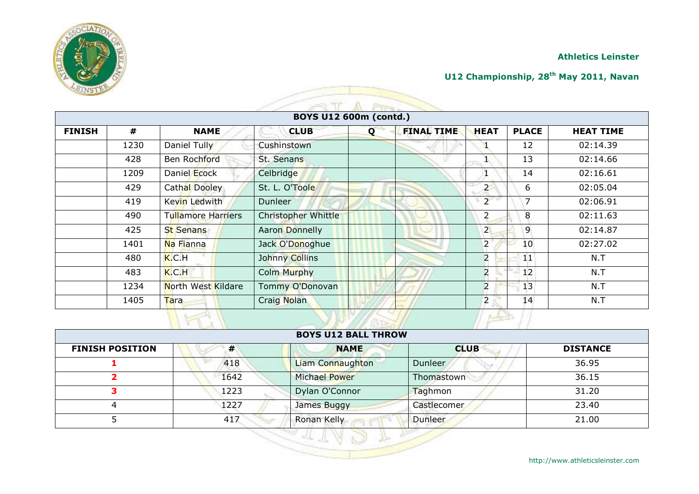

#### **U12 Championship, 28th May 2011, Navan**

|               |      |                           |                        | $F - 1$ |                   |                |              |                  |
|---------------|------|---------------------------|------------------------|---------|-------------------|----------------|--------------|------------------|
|               |      |                           | BOYS U12 600m (contd.) |         |                   |                |              |                  |
| <b>FINISH</b> | #    | <b>NAME</b>               | <b>CLUB</b>            | Q       | <b>FINAL TIME</b> | <b>HEAT</b>    | <b>PLACE</b> | <b>HEAT TIME</b> |
|               | 1230 | Daniel Tully              | Cushinstown            |         |                   |                | 12           | 02:14.39         |
|               | 428  | Ben Rochford              | St. Senans             |         |                   |                | 13           | 02:14.66         |
|               | 1209 | Daniel Ecock              | Celbridge              |         |                   |                | 14           | 02:16.61         |
|               | 429  | Cathal Dooley             | St. L. O'Toole         |         |                   | $\overline{2}$ | 6            | 02:05.04         |
|               | 419  | Kevin Ledwith             | <b>Dunleer</b>         |         |                   | $\overline{2}$ | 7            | 02:06.91         |
|               | 490  | <b>Tullamore Harriers</b> | Christopher Whittle    |         |                   | $\overline{2}$ | 8            | 02:11.63         |
|               | 425  | <b>St Senans</b>          | <b>Aaron Donnelly</b>  |         |                   | $\overline{2}$ | 9            | 02:14.87         |
|               | 1401 | Na Fianna                 | Jack O'Donoghue        |         |                   | $\overline{2}$ | 10           | 02:27.02         |
|               | 480  | K.C.H                     | Johnny Collins         |         |                   | $\overline{2}$ | 11           | N.T              |
|               | 483  | K.C.H                     | <b>Colm Murphy</b>     |         |                   | $\overline{a}$ | 12           | N.T              |
|               | 1234 | North West Kildare        | Tommy O'Donovan        |         |                   | $\overline{2}$ | 13           | N.T              |
|               | 1405 | Tara                      | Craig Nolan            |         |                   | $\overline{2}$ | 14           | N.T              |

### **BOYS U12 BALL THROW FINISH POSITION # NAME CLUB DISTANCE** 418 **Liam Connaughton** Dunleer 36.95 1642 Michael Power Thomastown 36.15 1223 Dylan O'Connor Taghmon 31.20 4 1227 James Buggy Castlecomer 23.40 5 417 Ronan Kelly Dunleer 21.00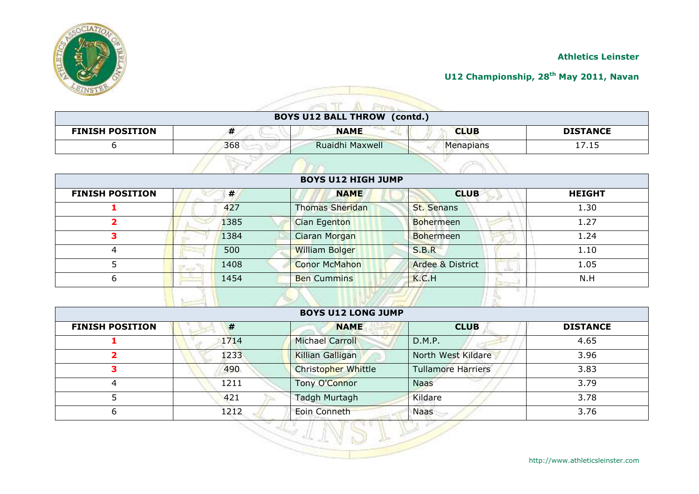

#### **U12 Championship, 28th May 2011, Navan**

| <b>BOYS U12 BALL THROW (contd.)</b> |     |                 |             |                 |  |
|-------------------------------------|-----|-----------------|-------------|-----------------|--|
| <b>FINISH POSITION</b>              |     | <b>NAME</b>     | <b>CLUB</b> | <b>DISTANCE</b> |  |
|                                     | 368 | Ruaidhi Maxwell | Menapians   | 17.15           |  |

|                        |      | <b>BOYS U12 HIGH JUMP</b> |                             |               |
|------------------------|------|---------------------------|-----------------------------|---------------|
| <b>FINISH POSITION</b> | #    | <b>NAME</b>               | <b>CLUB</b>                 | <b>HEIGHT</b> |
|                        | 427  | Thomas Sheridan           | <b>St. Senans</b>           | 1.30          |
|                        | 1385 | Cian Egenton              | Bohermeen                   | 1.27          |
|                        | 1384 | Ciaran Morgan             | <b>Bohermeen</b>            | 1.24          |
| 4                      | 500  | <b>William Bolger</b>     | S.B.R                       | 1.10          |
|                        | 1408 | <b>Conor McMahon</b>      | <b>Ardee &amp; District</b> | 1.05          |
| 6                      | 1454 | <b>Ben Cummins</b>        | K.C.H                       | N.H           |
|                        |      |                           |                             |               |

| <b>FINISH POSITION</b> | #    | <b>NAME</b>         | <b>CLUB</b>               | <b>DISTANCE</b> |
|------------------------|------|---------------------|---------------------------|-----------------|
|                        | 1714 | Michael Carroll     | D.M.P.                    | 4.65            |
|                        | 1233 | Killian Galligan    | North West Kildare        | 3.96            |
| 3                      | 490  | Christopher Whittle | <b>Tullamore Harriers</b> | 3.83            |
| 4                      | 1211 | Tony O'Connor       | <b>Naas</b>               | 3.79            |
|                        | 421  | Tadgh Murtagh       | Kildare                   | 3.78            |
| 6                      | 1212 | Eoin Conneth        | <b>Naas</b>               | 3.76            |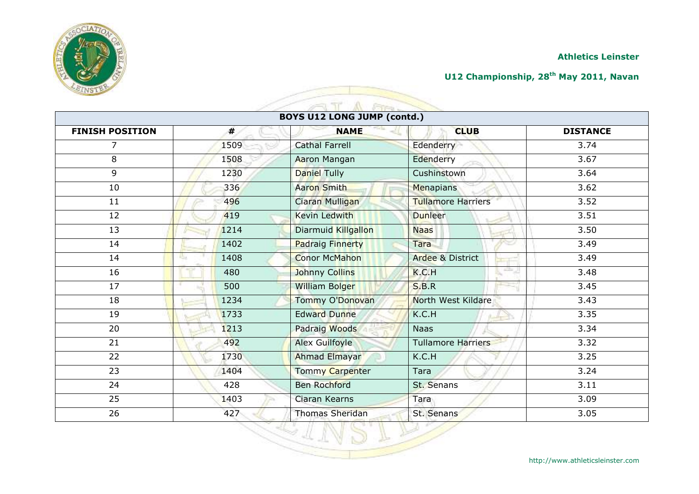

# **U12 Championship, 28th May 2011, Navan**

|                        |             | <b>BOYS U12 LONG JUMP (contd.)</b> |                           |                   |
|------------------------|-------------|------------------------------------|---------------------------|-------------------|
| <b>FINISH POSITION</b> | #           | <b>NAME</b>                        | <b>CLUB</b>               | <b>DISTANCE</b>   |
| 7                      | 1509        | <b>Cathal Farrell</b>              | Edenderry                 | 3.74              |
| 8                      | 1508        | Aaron Mangan                       | Edenderry                 | 3.67              |
| 9                      | 1230        | Daniel Tully                       | Cushinstown               | 3.64              |
| 10                     | 336         | <b>Aaron Smith</b>                 | Menapians                 | 3.62              |
| 11                     | 496         | Ciaran Mulligan                    | <b>Tullamore Harriers</b> | $\overline{3.52}$ |
| 12                     | 419         | <b>Kevin Ledwith</b>               | <b>Dunleer</b>            | 3.51              |
| 13                     | 1214        | Diarmuid Killgallon                | <b>Naas</b>               | 3.50              |
| 14                     | 1402        | <b>Padraig Finnerty</b>            | Tara                      | 3.49              |
| 14                     | 1408<br>Us. | <b>Conor McMahon</b>               | Ardee & District          | 3.49              |
| 16                     | 480         | Johnny Collins                     | atte J<br>K.C.H           | 3.48              |
| 17                     | 500         | <b>William Bolger</b>              | S.B.R                     | 3.45              |
| 18                     | 1234        | Tommy O'Donovan                    | North West Kildare        | 3.43              |
| 19                     | 1733        | <b>Edward Dunne</b>                | K.C.H<br>$A = 1$          | 3.35              |
| 20                     | 1213        | Padraig Woods                      | <b>Naas</b>               | 3.34              |
| 21                     | 492         | <b>Alex Guilfoyle</b>              | <b>Tullamore Harriers</b> | 3.32              |
| 22                     | 1730        | Ahmad Elmayar                      | K.C.H                     | 3.25              |
| 23                     | 1404        | <b>Tommy Carpenter</b>             | Tara                      | 3.24              |
| 24                     | 428         | <b>Ben Rochford</b>                | St. Senans                | 3.11              |
| 25                     | 1403        | Ciaran Kearns                      | Tara                      | 3.09              |
| 26                     | 427         | <b>Thomas Sheridan</b>             | St. Senans                | 3.05              |

 $\Lambda$ 

Fire

 $\approx 1$ 

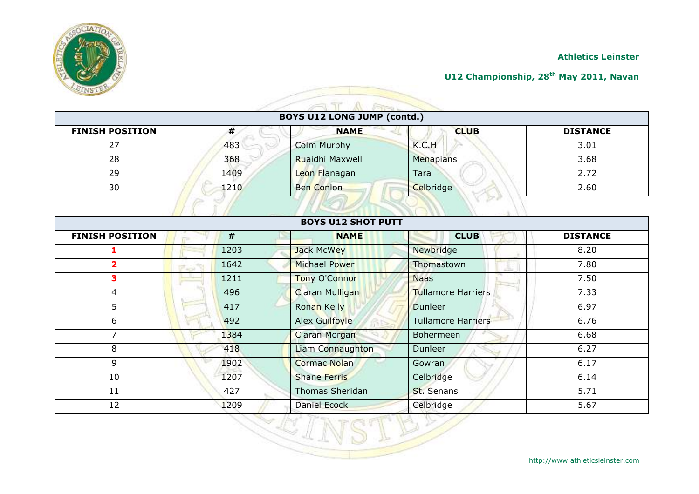

#### **U12 Championship, 28th May 2011, Navan**

| <b>BOYS U12 LONG JUMP (contd.)</b> |      |                    |             |                 |  |  |
|------------------------------------|------|--------------------|-------------|-----------------|--|--|
| <b>FINISH POSITION</b>             | ,,,  | <b>NAME</b>        | <b>CLUB</b> | <b>DISTANCE</b> |  |  |
| 27                                 | 483  | <b>Colm Murphy</b> | K.C.H       | 3.01            |  |  |
| 28                                 | 368  | Ruaidhi Maxwell    | Menapians   | 3.68            |  |  |
| 29                                 | 1409 | Leon Flanagan      | Tara        | 2.72            |  |  |
| 30                                 | 1210 | <b>Ben Conlon</b>  | Celbridge   | 2.60            |  |  |

| <b>FINISH POSITION</b> |     | #    | <b>NAME</b>            | <b>CLUB</b>               | <b>DISTANCE</b> |
|------------------------|-----|------|------------------------|---------------------------|-----------------|
|                        |     | 1203 | Jack McWey             | Newbridge                 | 8.20            |
| $\mathbf{z}$           | ن م | 1642 | Michael Power          | Thomastown                | 7.80            |
| 3                      |     | 1211 | Tony O'Connor          | <b>Naas</b>               | 7.50            |
| 4                      |     | 496  | Ciaran Mulligan        | <b>Tullamore Harriers</b> | 7.33            |
| 5                      |     | 417  | Ronan Kelly            | <b>Dunleer</b>            | 6.97            |
| 6                      |     | 492  | Alex Guilfoyle         | <b>Tullamore Harriers</b> | 6.76            |
| 7                      |     | 1384 | <b>Ciaran Morgan</b>   | <b>Bohermeen</b>          | 6.68            |
| 8                      |     | 418  | Liam Connaughton       | <b>Dunleer</b>            | 6.27            |
| 9                      |     | 1902 | <b>Cormac Nolan</b>    | Gowran                    | 6.17            |
| 10                     |     | 1207 | <b>Shane Ferris</b>    | Celbridge                 | 6.14            |
| 11                     |     | 427  | <b>Thomas Sheridan</b> | St. Senans                | 5.71            |
| 12                     |     | 1209 | Daniel Ecock           | Celbridge                 | 5.67            |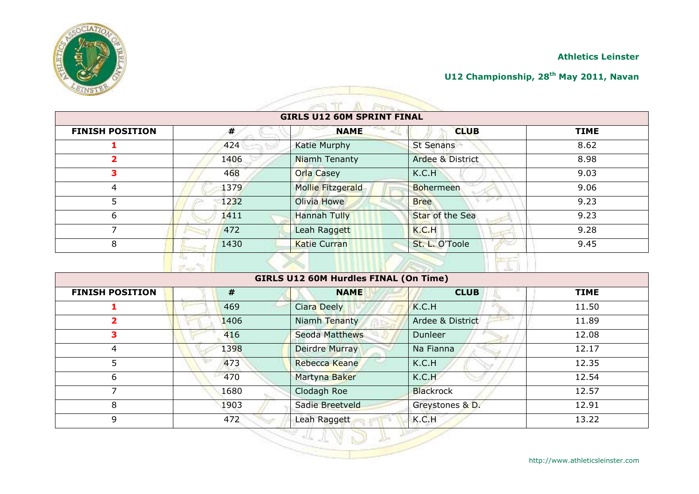



## **U12 Championship, 28th May 2011, Navan**

|                        |      | <b>GIRLS U12 60M SPRINT FINAL</b> |                  |             |
|------------------------|------|-----------------------------------|------------------|-------------|
| <b>FINISH POSITION</b> | #    | <b>NAME</b>                       | <b>CLUB</b>      | <b>TIME</b> |
|                        | 424  | Katie Murphy                      | <b>St Senans</b> | 8.62        |
|                        | 1406 | Niamh Tenanty                     | Ardee & District | 8.98        |
| 3                      | 468  | <b>Orla Casey</b>                 | K.C.H            | 9.03        |
| 4                      | 1379 | Mollie Fitzgerald                 | <b>Bohermeen</b> | 9.06        |
|                        | 1232 | Olivia Howe                       | <b>Bree</b>      | 9.23        |
| 6                      | 1411 | <b>Hannah Tully</b>               | Star of the Sea  | 9.23        |
|                        | 472  | Leah Raggett                      | K.C.H            | 9.28        |
| 8                      | 1430 | <b>Katie Curran</b>               | St. L. O'Toole   | 9.45        |
|                        |      |                                   |                  |             |

 $\approx 1$ 

 $\Lambda$   $\approx$ 

| <b>FINISH POSITION</b> | #    | <b>NAME</b>        | <b>CLUB</b>      | <b>TIME</b> |
|------------------------|------|--------------------|------------------|-------------|
|                        | 469  | <b>Ciara Deely</b> | K.C.H            | 11.50       |
| 2                      | 1406 | Niamh Tenanty      | Ardee & District | 11.89       |
| 3                      | 416  | Seoda Matthews     | Dunleer          | 12.08       |
| 4                      | 1398 | Deirdre Murray     | Na Fianna        | 12.17       |
| 5                      | 473  | Rebecca Keane      | K.C.H            | 12.35       |
| 6                      | 470  | Martyna Baker      | K.C.H            | 12.54       |
| ᄀ                      | 1680 | Clodagh Roe        | <b>Blackrock</b> | 12.57       |
| 8                      | 1903 | Sadie Breetveld    | Greystones & D.  | 12.91       |
| 9                      | 472  | Leah Raggett       | K.C.H            | 13.22       |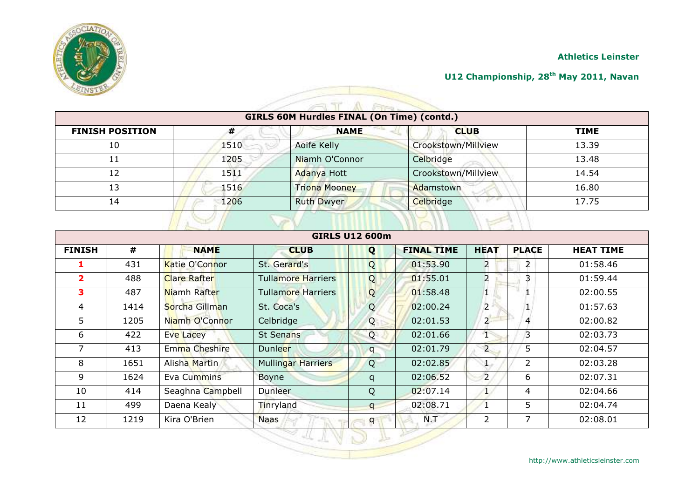



#### **U12 Championship, 28th May 2011, Navan**

|                        |      | <b>GIRLS 60M Hurdles FINAL (On Time) (contd.)</b> |                     |             |
|------------------------|------|---------------------------------------------------|---------------------|-------------|
| <b>FINISH POSITION</b> | #    | <b>NAME</b>                                       | <b>CLUB</b>         | <b>TIME</b> |
| 10                     | 1510 | Aoife Kelly                                       | Crookstown/Millview | 13.39       |
| 11                     | 1205 | Niamh O'Connor                                    | Celbridge           | 13.48       |
| 12                     | 1511 | Adanya Hott                                       | Crookstown/Millview | 14.54       |
| 13                     | 1516 | <b>Triona Mooney</b>                              | Adamstown           | 16.80       |
| 14                     | 1206 | <b>Ruth Dwyer</b>                                 | Celbridge           | 17.75       |

| <b>GIRLS U12 600m</b> |      |                     |                           |              |                   |                |                |                  |
|-----------------------|------|---------------------|---------------------------|--------------|-------------------|----------------|----------------|------------------|
| <b>FINISH</b>         | #    | <b>NAME</b>         | <b>CLUB</b>               | Q            | <b>FINAL TIME</b> | <b>HEAT</b>    | <b>PLACE</b>   | <b>HEAT TIME</b> |
| 1                     | 431  | Katie O'Connor      | St. Gerard's              | Q            | 01:53.90          | $\overline{2}$ | 2              | 01:58.46         |
| $\overline{2}$        | 488  | <b>Clare Rafter</b> | <b>Tullamore Harriers</b> | Q            | 01:55.01          | $\overline{2}$ | 3              | 01:59.44         |
| 3                     | 487  | Niamh Rafter        | <b>Tullamore Harriers</b> | Q            | 01:58.48          | 1              | 1              | 02:00.55         |
| 4                     | 1414 | Sorcha Gillman      | St. Coca's                | Q            | 02:00.24          | $\overline{2}$ | $\mathbf{1}$   | 01:57.63         |
| 5                     | 1205 | Niamh O'Connor      | Celbridge                 | Q            | 02:01.53          | $2^{\circ}$    | 4              | 02:00.82         |
| 6                     | 422  | <b>Eve Lacey</b>    | <b>St Senans</b>          | Q            | 02:01.66          | T              | $\overline{3}$ | 02:03.73         |
| 7                     | 413  | Emma Cheshire       | <b>Dunleer</b>            | $\mathsf{q}$ | 02:01.79          | $\overline{2}$ | 5              | 02:04.57         |
| 8                     | 1651 | Alisha Martin       | <b>Mullingar Harriers</b> | Q            | 02:02.85          |                | $\overline{2}$ | 02:03.28         |
| 9                     | 1624 | Eva Cummins         | Boyne                     | q            | 02:06.52          | $\overline{2}$ | 6              | 02:07.31         |
| 10                    | 414  | Seaghna Campbell    | <b>Dunleer</b>            | Q            | 02:07.14          | $\mathbf{1}$   | 4              | 02:04.66         |
| 11                    | 499  | Daena Kealy         | Tinryland                 | $\mathsf{q}$ | 02:08.71          |                | 5              | 02:04.74         |
| 12                    | 1219 | Kira O'Brien        | <b>Naas</b>               | q            | N.T               | $\overline{2}$ | 7              | 02:08.01         |
|                       |      |                     |                           |              |                   |                |                |                  |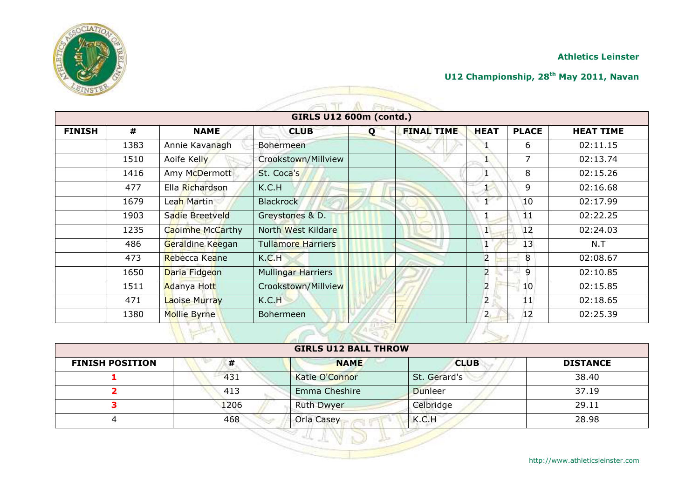

## **U12 Championship, 28th May 2011, Navan**

| <b>GIRLS U12 600m (contd.)</b> |      |                         |                           |   |                   |                |                 |                  |
|--------------------------------|------|-------------------------|---------------------------|---|-------------------|----------------|-----------------|------------------|
| <b>FINISH</b>                  | #    | <b>NAME</b>             | <b>CLUB</b>               | Q | <b>FINAL TIME</b> | <b>HEAT</b>    | <b>PLACE</b>    | <b>HEAT TIME</b> |
|                                | 1383 | Annie Kavanagh          | Bohermeen                 |   |                   |                | 6               | 02:11.15         |
|                                | 1510 | Aoife Kelly             | Crookstown/Millview       |   |                   |                | $\overline{7}$  | 02:13.74         |
|                                | 1416 | Amy McDermott           | St. Coca's                |   |                   |                | 8               | 02:15.26         |
|                                | 477  | Ella Richardson         | K.C.H                     |   |                   |                | 9               | 02:16.68         |
|                                | 1679 | Leah Martin             | <b>Blackrock</b>          |   |                   |                | 10              | 02:17.99         |
|                                | 1903 | Sadie Breetveld         | Greystones & D.           |   |                   |                | 11              | 02:22.25         |
|                                | 1235 | <b>Caoimhe McCarthy</b> | North West Kildare        |   |                   | $\mathbf{1}$   | 12              | 02:24.03         |
|                                | 486  | Geraldine Keegan        | <b>Tullamore Harriers</b> |   |                   | 1              | 13              | N.T              |
|                                | 473  | Rebecca Keane           | K.C.H                     |   |                   | $\overline{2}$ | 8               | 02:08.67         |
|                                | 1650 | Daria Fidgeon           | <b>Mullingar Harriers</b> |   |                   | $\overline{a}$ | 9               | 02:10.85         |
|                                | 1511 | Adanya Hott             | Crookstown/Millview       |   |                   | $\overline{2}$ | 10 <sup>°</sup> | 02:15.85         |
|                                | 471  | <b>Laoise Murray</b>    | K.C.H                     |   |                   | $\overline{2}$ | 11              | 02:18.65         |
|                                | 1380 | <b>Mollie Byrne</b>     | <b>Bohermeen</b>          |   |                   | 2 <sub>1</sub> | 12              | 02:25.39         |

| <b>FINISH POSITION</b> | #    | <b>NAME</b>           | <b>CLUB</b>    | <b>DISTANCE</b> |
|------------------------|------|-----------------------|----------------|-----------------|
|                        | 431  | <b>Katie O'Connor</b> | St. Gerard's   | 38.40           |
|                        | 413  | Emma Cheshire         | <b>Dunleer</b> | 37.19           |
|                        | 1206 | <b>Ruth Dwyer</b>     | Celbridge      | 29.11           |
|                        | 468  | Orla Casey            | K.C.H          | 28.98           |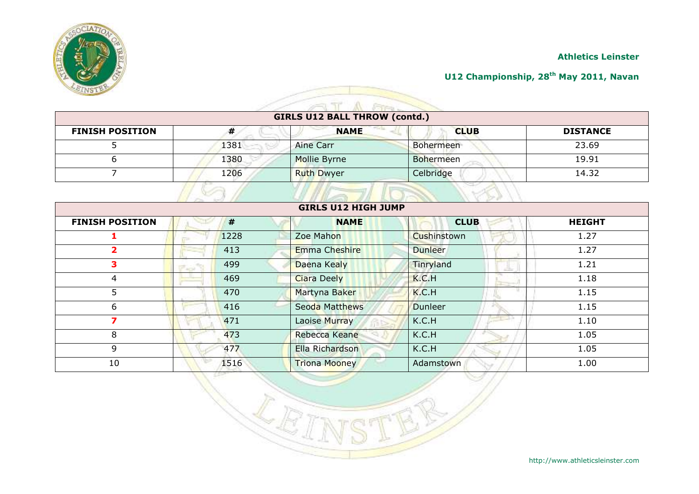

#### **U12 Championship, 28th May 2011, Navan**

# **GIRLS U12 BALL THROW (contd.)**

A

 $\overline{\mathcal{L}}$ 

| <b>FINISH POSITION</b> | T    | <b>NAME</b>       | <b>CLUB</b>      | <b>DISTANCE</b> |
|------------------------|------|-------------------|------------------|-----------------|
|                        | 1381 | Aine Carr         | <b>Bohermeen</b> | 23.69           |
|                        | 1380 | Mollie Byrne      | <b>Bohermeen</b> | 19.91           |
|                        | 1206 | <b>Ruth Dwyer</b> | Celbridge        | 14.32           |
|                        |      |                   |                  |                 |

| $\sim -1$<br><b>GIRLS U12 HIGH JUMP</b> |      |                       |                |               |  |  |  |
|-----------------------------------------|------|-----------------------|----------------|---------------|--|--|--|
| <b>FINISH POSITION</b>                  | #    | <b>NAME</b>           | <b>CLUB</b>    | <b>HEIGHT</b> |  |  |  |
|                                         | 1228 | Zoe Mahon             | Cushinstown    | 1.27          |  |  |  |
| 2                                       | 413  | <b>Emma Cheshire</b>  | <b>Dunleer</b> | 1.27          |  |  |  |
| 3                                       | 499  | Daena Kealy           | Tinryland      | 1.21          |  |  |  |
| 4                                       | 469  | <b>Ciara Deely</b>    | K.C.H          | 1.18          |  |  |  |
| 5                                       | 470  | Martyna Baker         | K.C.H          | 1.15          |  |  |  |
| 6                                       | 416  | <b>Seoda Matthews</b> | <b>Dunleer</b> | 1.15          |  |  |  |
| ⇁                                       | 471  | Laoise Murray         | K.C.H          | 1.10          |  |  |  |
| 8                                       | 473  | Rebecca Keane         | K.C.H          | 1.05          |  |  |  |
| 9                                       | 477  | Ella Richardson       | K.C.H          | 1.05          |  |  |  |
| 10                                      | 1516 | <b>Triona Mooney</b>  | Adamstown      | 1.00          |  |  |  |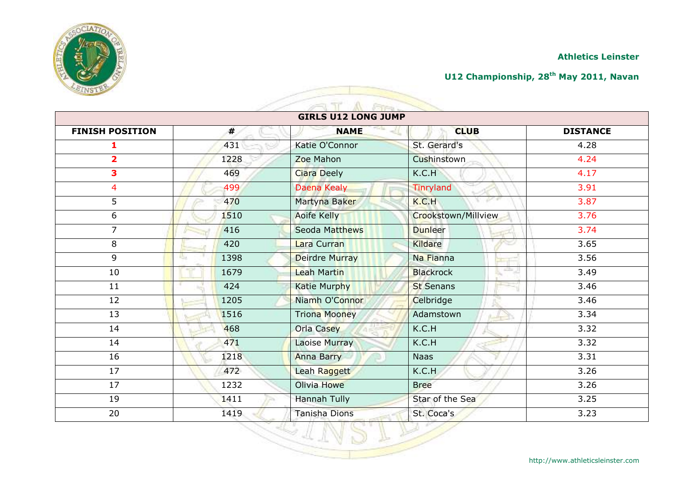

# **U12 Championship, 28th May 2011, Navan**

| <b>GIRLS U12 LONG JUMP</b> |                    |                      |                             |                   |  |  |  |
|----------------------------|--------------------|----------------------|-----------------------------|-------------------|--|--|--|
| <b>FINISH POSITION</b>     | #                  | <b>NAME</b>          | <b>CLUB</b>                 | <b>DISTANCE</b>   |  |  |  |
| 1                          | 431                | Katie O'Connor       | St. Gerard's                | 4.28              |  |  |  |
| $\overline{\mathbf{2}}$    | 1228               | Zoe Mahon            | Cushinstown                 | 4.24              |  |  |  |
| 3                          | 469                | Ciara Deely          | K.C.H                       | 4.17              |  |  |  |
| 4                          | 499                | Daena Kealy          | Tinryland                   | 3.91              |  |  |  |
| 5                          | 470                | Martyna Baker        | K.C.H                       | 3.87              |  |  |  |
| 6                          | 1510               | <b>Aoife Kelly</b>   | Crookstown/Millview         | 3.76              |  |  |  |
| $\overline{7}$             | 416                | Seoda Matthews       | <b>Dunleer</b>              | 3.74              |  |  |  |
| 8                          | 420                | Lara Curran          | Kildare                     | $\overline{3.65}$ |  |  |  |
| 9                          | 1398<br><b>ISB</b> | Deirdre Murray       | Na Fianna                   | 3.56              |  |  |  |
| 10                         | 1679               | Leah Martin          | atta: J<br><b>Blackrock</b> | 3.49              |  |  |  |
| 11                         | 424                | <b>Katie Murphy</b>  | <b>St Senans</b>            | 3.46              |  |  |  |
| 12                         | 1205               | Niamh O'Connor       | Celbridge                   | 3.46              |  |  |  |
| 13                         | 1516               | <b>Triona Mooney</b> | Adamstown<br>کاسی           | 3.34              |  |  |  |
| 14                         | 468                | Orla Casey           | K.C.H                       | 3.32              |  |  |  |
| 14                         | 471                | <b>Laoise Murray</b> | K.C.H                       | 3.32              |  |  |  |
| 16                         | 1218               | <b>Anna Barry</b>    | <b>Naas</b>                 | 3.31              |  |  |  |
| 17                         | 472                | Leah Raggett         | K.C.H                       | 3.26              |  |  |  |
| 17                         | 1232               | Olivia Howe          | <b>Bree</b>                 | 3.26              |  |  |  |
| 19                         | 1411               | Hannah Tully         | Star of the Sea             | 3.25              |  |  |  |
| 20                         | 1419               | <b>Tanisha Dions</b> | St. Coca's                  | 3.23              |  |  |  |

A.

Fire

 $\approx 1$ 

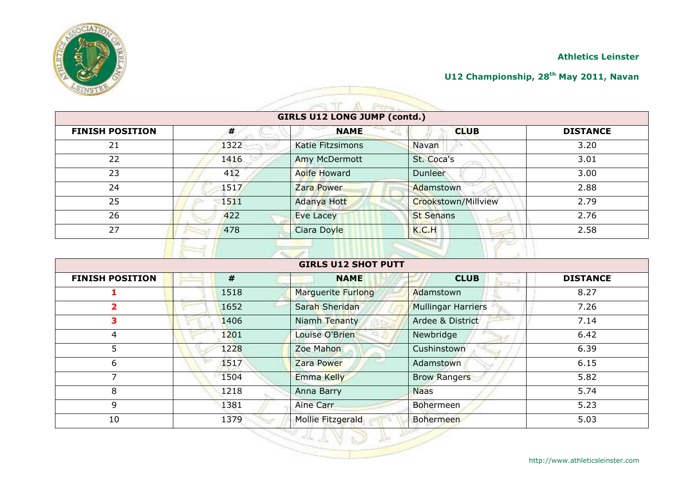

#### **U12 Championship, 28th May 2011, Navan**

| <b>GIRLS U12 LONG JUMP (contd.)</b> |      |                         |                     |                 |  |  |
|-------------------------------------|------|-------------------------|---------------------|-----------------|--|--|
| <b>FINISH POSITION</b>              | #    | <b>NAME</b>             | <b>CLUB</b>         | <b>DISTANCE</b> |  |  |
| 21                                  | 1322 | <b>Katie Fitzsimons</b> | Navan               | 3.20            |  |  |
| 22                                  | 1416 | Amy McDermott           | St. Coca's          | 3.01            |  |  |
| 23                                  | 412  | <b>Aoife Howard</b>     | Dunleer             | 3.00            |  |  |
| 24                                  | 1517 | Zara Power              | Adamstown           | 2.88            |  |  |
| 25                                  | 1511 | Adanya Hott             | Crookstown/Millview | 2.79            |  |  |
| 26                                  | 422  | <b>Eve Lacey</b>        | <b>St Senans</b>    | 2.76            |  |  |
| 27                                  | 478  | Ciara Doyle             | K.C.H               | 2.58            |  |  |

| <b>GIRLS U12 SHOT PUTT</b> |      |                    |                           |                 |  |
|----------------------------|------|--------------------|---------------------------|-----------------|--|
| <b>FINISH POSITION</b>     | #    | <b>NAME</b>        | <b>CLUB</b>               | <b>DISTANCE</b> |  |
|                            | 1518 | Marguerite Furlong | Adamstown                 | 8.27            |  |
| 2                          | 1652 | Sarah Sheridan     | <b>Mullingar Harriers</b> | 7.26            |  |
| 3.                         | 1406 | Niamh Tenanty      | Ardee & District          | 7.14            |  |
| 4                          | 1201 | Louise O'Brien     | Newbridge                 | 6.42            |  |
| 5                          | 1228 | Zoe Mahon          | Cushinstown               | 6.39            |  |
| 6                          | 1517 | Zara Power         | Adamstown                 | 6.15            |  |
| ⇁                          | 1504 | Emma Kelly         | <b>Brow Rangers</b>       | 5.82            |  |
| 8                          | 1218 | Anna Barry         | <b>Naas</b>               | 5.74            |  |
| 9                          | 1381 | Aine Carr          | Bohermeen                 | 5.23            |  |
| 10                         | 1379 | Mollie Fitzgerald  | Bohermeen                 | 5.03            |  |